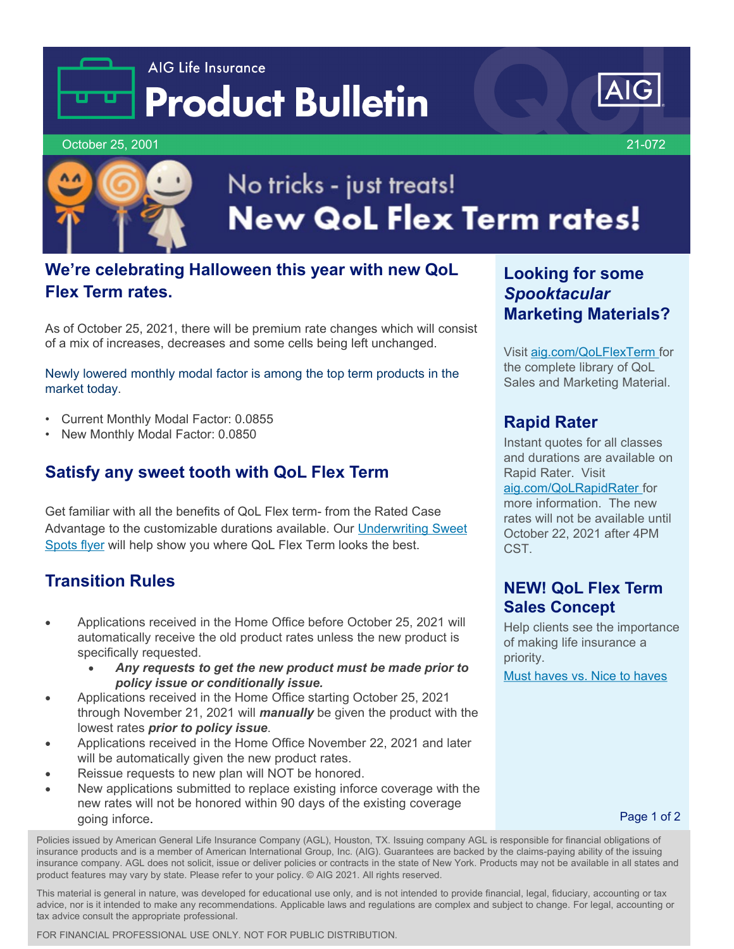# AIG Life Insurance **Product Bulletin**



October 25, 2001 21-072



# No tricks - just treats! **New QoL Flex Term rates!**

## **We're celebrating Halloween this year with new QoL Flex Term rates.**

As of October 25, 2021, there will be premium rate changes which will consist of a mix of increases, decreases and some cells being left unchanged.

Newly lowered monthly modal factor is among the top term products in the market today.

- Current Monthly Modal Factor: 0.0855
- New Monthly Modal Factor: 0.0850

#### **Satisfy any sweet tooth with QoL Flex Term**

Get familiar with all the benefits of QoL Flex term- from the Rated Case [Advantage to the customizable durations available. Our Underwriting Sweet](https://adminplus.fgsfulfillment.com/View/AIGAG/1/AGLC112559-QoL)  Spots flyer will help show you where QoL Flex Term looks the best.

#### **Transition Rules**

- Applications received in the Home Office before October 25, 2021 will automatically receive the old product rates unless the new product is specifically requested.
	- *Any requests to get the new product must be made prior to policy issue or conditionally issue.*
- Applications received in the Home Office starting October 25, 2021 through November 21, 2021 will *manually* be given the product with the lowest rates *prior to policy issue*.
- Applications received in the Home Office November 22, 2021 and later will be automatically given the new product rates.
- Reissue requests to new plan will NOT be honored.
- New applications submitted to replace existing inforce coverage with the new rates will not be honored within 90 days of the existing coverage going inforce.

**Looking for some**  *Spooktacular* **Marketing Materials?**

Visit [aig.com/QoLFlexTerm](http://www.aig.com/QoLFlexTerm) for the complete library of QoL Sales and Marketing Material.

#### **Rapid Rater**

Instant quotes for all classes and durations are available on Rapid Rater. Visit

[aig.com/QoLRapidRater](http://www.aig.com/QoLRapidRater) for more information. The new rates will not be available until October 22, 2021 after 4PM CST.

#### **NEW! QoL Flex Term Sales Concept**

Help clients see the importance of making life insurance a priority.

[Must haves vs. Nice to haves](https://adminplus.fgsfulfillment.com/View/AIGAG/1/AGLC201134-QoL)

Page 1 of 2

Policies issued by American General Life Insurance Company (AGL), Houston, TX. Issuing company AGL is responsible for financial obligations of insurance products and is a member of American International Group, Inc. (AIG). Guarantees are backed by the claims-paying ability of the issuing insurance company. AGL does not solicit, issue or deliver policies or contracts in the state of New York. Products may not be available in all states and product features may vary by state. Please refer to your policy. © AIG 2021. All rights reserved.

This material is general in nature, was developed for educational use only, and is not intended to provide financial, legal, fiduciary, accounting or tax advice, nor is it intended to make any recommendations. Applicable laws and regulations are complex and subject to change. For legal, accounting or tax advice consult the appropriate professional.

FOR FINANCIAL PROFESSIONAL USE ONLY. NOT FOR PUBLIC DISTRIBUTION.